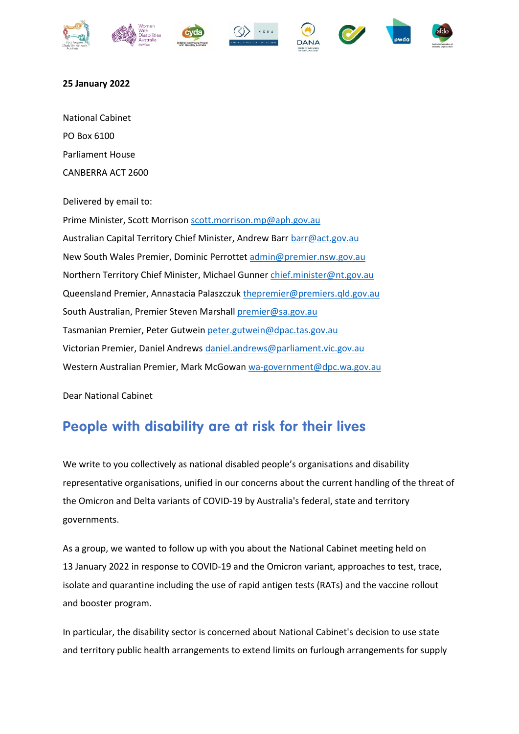













## **25 January 2022**

National Cabinet PO Box 6100 Parliament House CANBERRA ACT 2600

Delivered by email to:

Prime Minister, Scott Morrison [scott.morrison.mp@aph.gov.au](mailto:scott.morrison.mp@aph.gov.au) Australian Capital Territory Chief Minister, Andrew Bar[r barr@act.gov.au](mailto:barr@act.gov.au) New South Wales Premier, Dominic Perrottet [admin@premier.nsw.gov.au](mailto:admin@premier.nsw.gov.au) Northern Territory Chief Minister, Michael Gunner [chief.minister@nt.gov.au](mailto:chief.minister@nt.gov.au) Queensland Premier, Annastacia Palaszczuk [thepremier@premiers.qld.gov.au](mailto:thepremier@premiers.qld.gov.au) South Australian, Premier Steven Marshall [premier@sa.gov.au](mailto:premier@sa.gov.au) Tasmanian Premier, Peter Gutwein [peter.gutwein@dpac.tas.gov.au](mailto:peter.gutwein@dpac.tas.gov.au) Victorian Premier, Daniel Andrews [daniel.andrews@parliament.vic.gov.au](mailto:daniel.andrews@parliament.vic.gov.au) Western Australian Premier, Mark McGowan [wa-government@dpc.wa.gov.au](mailto:wa-government@dpc.wa.gov.au)

Dear National Cabinet

## **People with disability are at risk for their lives**

We write to you collectively as national disabled people's organisations and disability representative organisations, unified in our concerns about the current handling of the threat of the Omicron and Delta variants of COVID-19 by Australia's federal, state and territory governments.

As a group, we wanted to follow up with you about the [National Cabinet meeting held on](https://www.pm.gov.au/media/national-cabinet-statement-63)  13 [January 2022](https://www.pm.gov.au/media/national-cabinet-statement-63) in response to COVID-19 and the Omicron variant, approaches to test, trace, isolate and quarantine including the use of rapid antigen tests (RATs) and the vaccine rollout and booster program.

In particular, the disability sector is concerned about National Cabinet's decision to use state and territory public health arrangements to extend limits on furlough arrangements for supply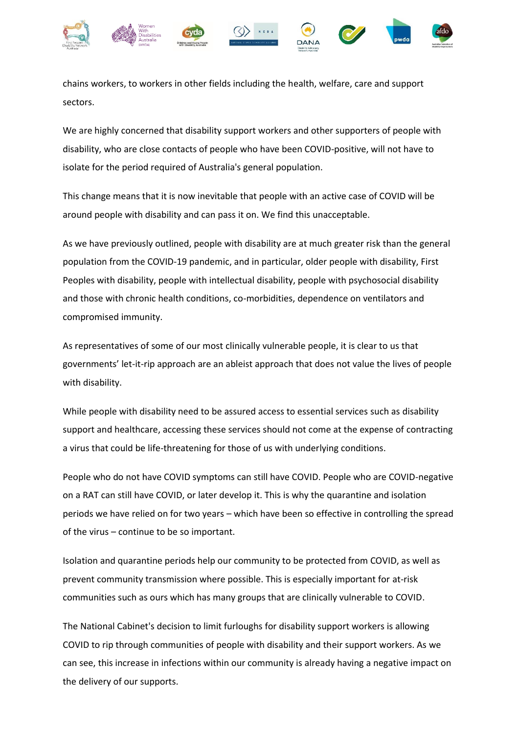

chains workers, to workers in other fields including the health, welfare, care and support sectors.

We are highly concerned that disability support workers and other supporters of people with disability, who are close contacts of people who have been COVID-positive, will not have to isolate for the period required of Australia's general population.

This change means that it is now inevitable that people with an active case of COVID will be around people with disability and can pass it on. We find this unacceptable.

As we have previously outlined, people with disability are at much greater risk than the general population from the COVID-19 pandemic, and in particular, older people with disability, First Peoples with disability, people with intellectual disability, people with psychosocial disability and those with chronic health conditions, co-morbidities, dependence on ventilators and compromised immunity.

As representatives of some of our most clinically vulnerable people, it is clear to us that governments' let-it-rip approach are an ableist approach that does not value the lives of people with disability.

While people with disability need to be assured access to essential services such as disability support and healthcare, accessing these services should not come at the expense of contracting a virus that could be life-threatening for those of us with underlying conditions.

People who do not have COVID symptoms can still have COVID. People who are COVID-negative on a RAT can still have COVID, or later develop it. This is why the quarantine and isolation periods we have relied on for two years – which have been so effective in controlling the spread of the virus – continue to be so important.

Isolation and quarantine periods help our community to be protected from COVID, as well as prevent community transmission where possible. This is especially important for at-risk communities such as ours which has many groups that are clinically vulnerable to COVID.

The National Cabinet's decision to limit furloughs for disability support workers is allowing COVID to rip through communities of people with disability and their support workers. As we can see, this increase in infections within our community is already having a negative impact on the delivery of our supports.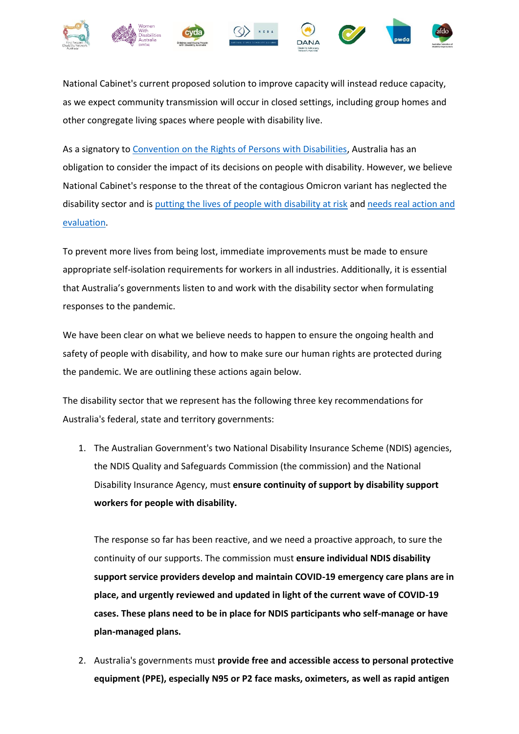

National Cabinet's current proposed solution to improve capacity will instead reduce capacity, as we expect community transmission will occur in closed settings, including group homes and other congregate living spaces where people with disability live.

As a signatory to [Convention on the Rights of Persons with Disabilities,](https://www.un.org/development/desa/disabilities/convention-on-the-rights-of-persons-with-disabilities.html) Australia has an obligation to consider the impact of its decisions on people with disability. However, we believe National Cabinet's response to the threat of the contagious Omicron variant has neglected the disability sector and is [putting the lives of people with disability at risk](https://pwd.org.au/omicron-staffing-crunch-putting-lives-of-people-with-disability-at-risk/) and needs real [action and](https://pwd.org.au/disability-advocates-urge-disability-royal-commission-to-convene-emergency-hearing-into-omicron-crisis/)  [evaluation.](https://pwd.org.au/disability-advocates-urge-disability-royal-commission-to-convene-emergency-hearing-into-omicron-crisis/)

To prevent more lives from being lost, immediate improvements must be made to ensure appropriate self-isolation requirements for workers in all industries. Additionally, it is essential that Australia's governments listen to and work with the disability sector when formulating responses to the pandemic.

We have been clear on what we believe needs to happen to ensure the ongoing health and safety of people with disability, and how to make sure our human rights are protected during the pandemic. We are outlining these actions again below.

The disability sector that we represent has the following three key recommendations for Australia's federal, state and territory governments:

1. The Australian Government's two National Disability Insurance Scheme (NDIS) agencies, the NDIS Quality and Safeguards Commission (the commission) and the National Disability Insurance Agency, must **ensure continuity of support by disability support workers for people with disability.**

The response so far has been reactive, and we need a proactive approach, to sure the continuity of our supports. The commission must **ensure individual NDIS disability support service providers develop and maintain COVID-19 emergency care plans are in place, and urgently reviewed and updated in light of the current wave of COVID-19 cases. These plans need to be in place for NDIS participants who self-manage or have plan-managed plans.**

2. Australia's governments must **provide free and accessible access to personal protective equipment (PPE), especially N95 or P2 face masks, oximeters, as well as rapid antigen**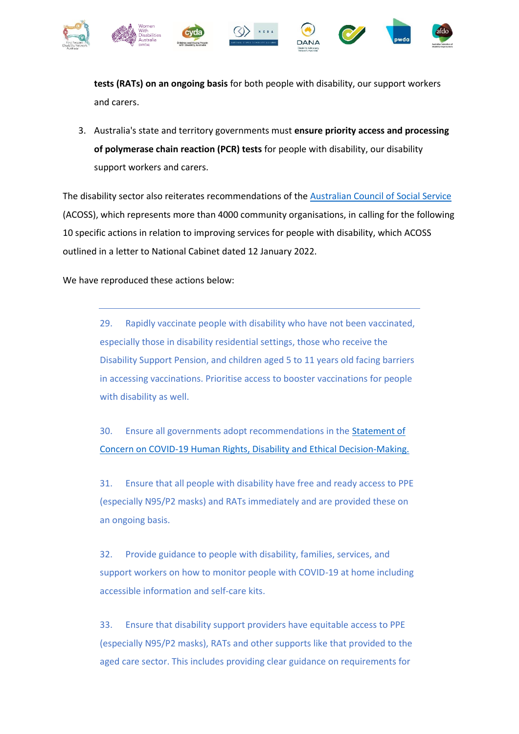

**tests (RATs) on an ongoing basis** for both people with disability, our support workers and carers.

3. Australia's state and territory governments must **ensure priority access and processing of polymerase chain reaction (PCR) tests** for people with disability, our disability support workers and carers.

The disability sector also reiterates recommendations of the [Australian Council of Social Service](https://www.acoss.org.au/) (ACOSS), which represents more than 4000 community organisations, in calling for the following 10 specific actions in relation to improving services for people with disability, which ACOSS outlined in a letter to National Cabinet dated 12 January 2022.

We have reproduced these actions below:

29. Rapidly vaccinate people with disability who have not been vaccinated, especially those in disability residential settings, those who receive the Disability Support Pension, and children aged 5 to 11 years old facing barriers in accessing vaccinations. Prioritise access to booster vaccinations for people with disability as well.

30. Ensure all governments adopt recommendations in the [Statement of](https://dpoa.org.au/statement-of-concern-covid-19-human-rights-disability-and-ethical-decision-making/)  [Concern on COVID-19 Human Rights, Disability and Ethical Decision-Making.](https://dpoa.org.au/statement-of-concern-covid-19-human-rights-disability-and-ethical-decision-making/)

31. Ensure that all people with disability have free and ready access to PPE (especially N95/P2 masks) and RATs immediately and are provided these on an ongoing basis.

32. Provide guidance to people with disability, families, services, and support workers on how to monitor people with COVID-19 at home including accessible information and self-care kits.

33. Ensure that disability support providers have equitable access to PPE (especially N95/P2 masks), RATs and other supports like that provided to the aged care sector. This includes providing clear guidance on requirements for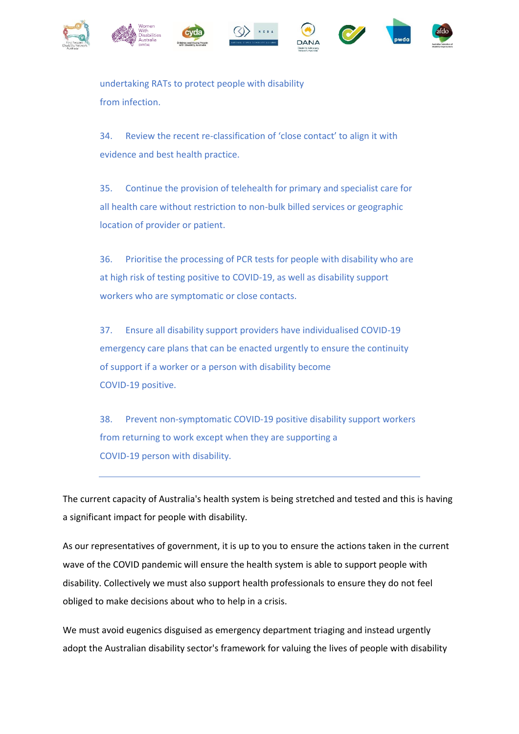











undertaking RATs to protect people with disability from infection.

34. Review the recent re-classification of 'close contact' to align it with evidence and best health practice.

35. Continue the provision of telehealth for primary and specialist care for all health care without restriction to non-bulk billed services or geographic location of provider or patient.

36. Prioritise the processing of PCR tests for people with disability who are at high risk of testing positive to COVID-19, as well as disability support workers who are symptomatic or close contacts.

37. Ensure all disability support providers have individualised COVID-19 emergency care plans that can be enacted urgently to ensure the continuity of support if a worker or a person with disability become COVID-19 positive.

38. Prevent non-symptomatic COVID-19 positive disability support workers from returning to work except when they are supporting a COVID-19 person with disability.

The current capacity of Australia's health system is being stretched and tested and this is having a significant impact for people with disability.

As our representatives of government, it is up to you to ensure the actions taken in the current wave of the COVID pandemic will ensure the health system is able to support people with disability. Collectively we must also support health professionals to ensure they do not feel obliged to make decisions about who to help in a crisis.

We must avoid eugenics disguised as emergency department triaging and instead urgently adopt the Australian disability sector's framework for valuing the lives of people with disability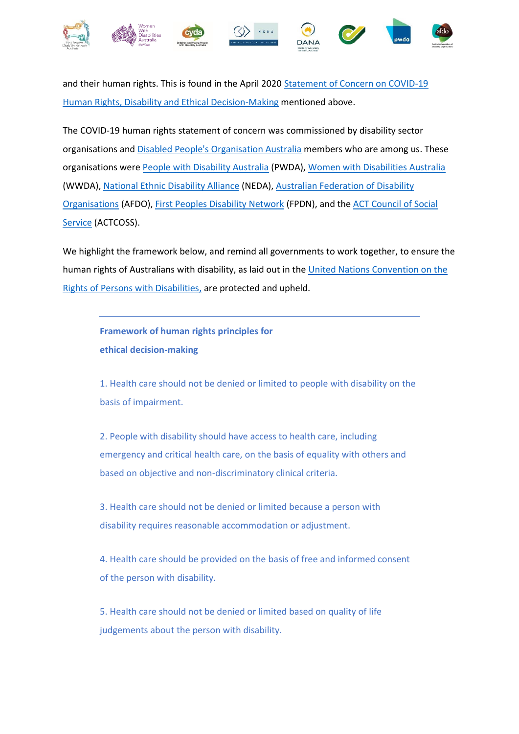

and their human rights. This is found in the April 2020 [Statement of Concern on COVID-19](https://dpoa.org.au/wp-content/uploads/2020/04/Statement-of-Concern-COVID-19-Human-rights-disability-and-ethical-decision-making_Final.pdf)  [Human Rights, Disability and Ethical Decision-Making](https://dpoa.org.au/wp-content/uploads/2020/04/Statement-of-Concern-COVID-19-Human-rights-disability-and-ethical-decision-making_Final.pdf) mentioned above.

The COVID-19 human rights statement of concern was commissioned by disability sector organisations an[d Disabled People's Organisation Australia](https://dpoa.org.au/) members who are among us. These organisations wer[e People with Disability Australia](https://pwd.org.au/) (PWDA), [Women with Disabilities Australia](file:///C:/Users/Amanda/AppData/Local/Microsoft/Windows/INetCache/Content.Outlook/CDNXO5RL/Women%20with%20Disabilities%20Australia) (WWDA)[, National Ethnic Disability Alliance](https://www.neda.org.au/) (NEDA)[, Australian Federation of Disability](https://www.afdo.org.au/)  [Organisations](https://www.afdo.org.au/) (AFDO), [First Peoples Disability Network](https://fpdn.org.au/) (FPDN), and the [ACT Council of Social](https://www.actcoss.org.au/)  [Service](https://www.actcoss.org.au/) (ACTCOSS).

We highlight the framework below, and remind all governments to work together, to ensure the human rights of Australians with disability, as laid out in the United Nations Convention on the [Rights of Persons with Disabilities,](https://www.un.org/development/desa/disabilities/convention-on-the-rights-of-persons-with-disabilities.html) are protected and upheld.

**Framework of human rights principles for ethical decision-making**

1. Health care should not be denied or limited to people with disability on the basis of impairment.

2. People with disability should have access to health care, including emergency and critical health care, on the basis of equality with others and based on objective and non-discriminatory clinical criteria.

3. Health care should not be denied or limited because a person with disability requires reasonable accommodation or adjustment.

4. Health care should be provided on the basis of free and informed consent of the person with disability.

5. Health care should not be denied or limited based on quality of life judgements about the person with disability.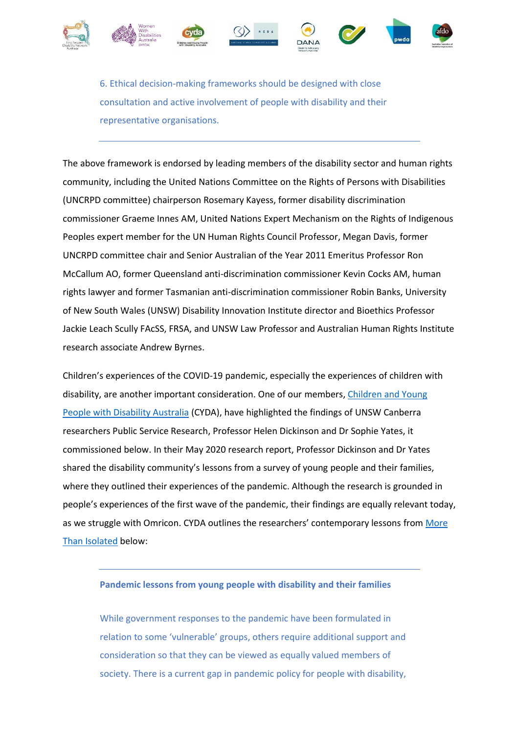











6. Ethical decision-making frameworks should be designed with close consultation and active involvement of people with disability and their representative organisations.

The above framework is endorsed by leading members of the disability sector and human rights community, including the United Nations Committee on the Rights of Persons with Disabilities (UNCRPD committee) chairperson Rosemary Kayess, former disability discrimination commissioner Graeme Innes AM, United Nations Expert Mechanism on the Rights of Indigenous Peoples expert member for the UN Human Rights Council Professor, Megan Davis, former UNCRPD committee chair and Senior Australian of the Year 2011 Emeritus Professor Ron McCallum AO, former Queensland anti-discrimination commissioner Kevin Cocks AM, human rights lawyer and former Tasmanian anti-discrimination commissioner Robin Banks, University of New South Wales (UNSW) Disability Innovation Institute director and Bioethics Professor Jackie Leach Scully FAcSS, FRSA, and UNSW Law Professor and Australian Human Rights Institute research associate Andrew Byrnes.

Children's experiences of the COVID-19 pandemic, especially the experiences of children with disability, are another important consideration. One of our members, [Children and Young](https://www.cyda.org.au/)  [People with Disability Australia](https://www.cyda.org.au/) (CYDA), have highlighted the findings of UNSW Canberra researchers Public Service Research, Professor Helen Dickinson and Dr Sophie Yates, it commissioned below. In their May 2020 research report, Professor Dickinson and Dr Yates shared the disability community's lessons from a survey of young people and their families, where they outlined their experiences of the pandemic. Although the research is grounded in people's experiences of the first wave of the pandemic, their findings are equally relevant today, as we struggle with Omricon. CYDA outlines the researchers' contemporary lessons from [More](https://www.cyda.org.au/images/pdf/covid_report_compressed_1.pdf)  [Than Isolated](https://www.cyda.org.au/images/pdf/covid_report_compressed_1.pdf) below:

## **Pandemic lessons from young people with disability and their families**

While government responses to the pandemic have been formulated in relation to some 'vulnerable' groups, others require additional support and consideration so that they can be viewed as equally valued members of society. There is a current gap in pandemic policy for people with disability,